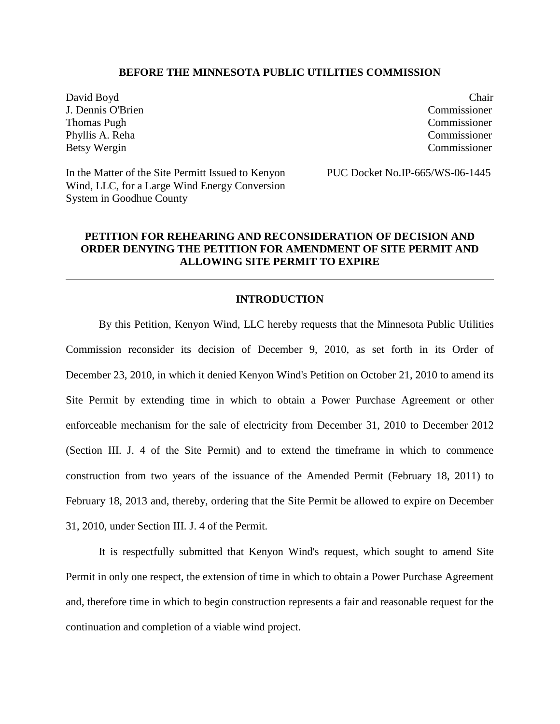## **BEFORE THE MINNESOTA PUBLIC UTILITIES COMMISSION**

David Boyd Chair J. Dennis O'Brien Commissioner Thomas Pugh Commissioner Phyllis A. Reha Commissioner Betsy Wergin Commissioner

In the Matter of the Site Permitt Issued to Kenyon PUC Docket No.IP-665/WS-06-1445 Wind, LLC, for a Large Wind Energy Conversion System in Goodhue County

## **PETITION FOR REHEARING AND RECONSIDERATION OF DECISION AND ORDER DENYING THE PETITION FOR AMENDMENT OF SITE PERMIT AND ALLOWING SITE PERMIT TO EXPIRE**

## **INTRODUCTION**

By this Petition, Kenyon Wind, LLC hereby requests that the Minnesota Public Utilities Commission reconsider its decision of December 9, 2010, as set forth in its Order of December 23, 2010, in which it denied Kenyon Wind's Petition on October 21, 2010 to amend its Site Permit by extending time in which to obtain a Power Purchase Agreement or other enforceable mechanism for the sale of electricity from December 31, 2010 to December 2012 (Section III. J. 4 of the Site Permit) and to extend the timeframe in which to commence construction from two years of the issuance of the Amended Permit (February 18, 2011) to February 18, 2013 and, thereby, ordering that the Site Permit be allowed to expire on December 31, 2010, under Section III. J. 4 of the Permit.

It is respectfully submitted that Kenyon Wind's request, which sought to amend Site Permit in only one respect, the extension of time in which to obtain a Power Purchase Agreement and, therefore time in which to begin construction represents a fair and reasonable request for the continuation and completion of a viable wind project.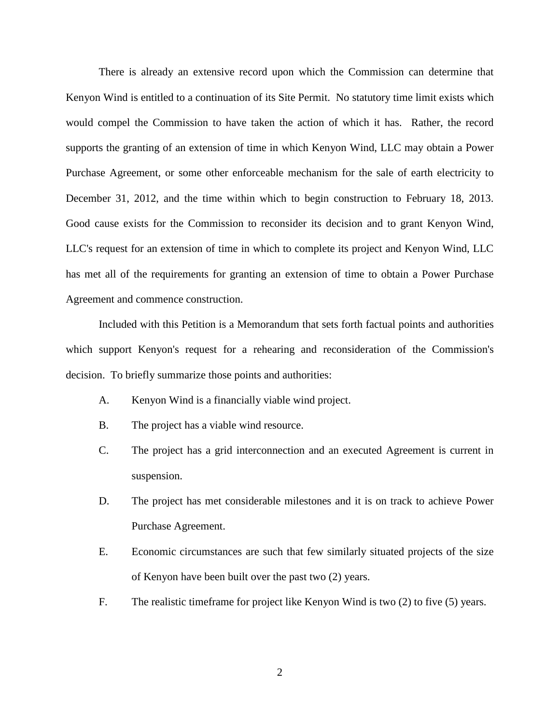There is already an extensive record upon which the Commission can determine that Kenyon Wind is entitled to a continuation of its Site Permit. No statutory time limit exists which would compel the Commission to have taken the action of which it has. Rather, the record supports the granting of an extension of time in which Kenyon Wind, LLC may obtain a Power Purchase Agreement, or some other enforceable mechanism for the sale of earth electricity to December 31, 2012, and the time within which to begin construction to February 18, 2013. Good cause exists for the Commission to reconsider its decision and to grant Kenyon Wind, LLC's request for an extension of time in which to complete its project and Kenyon Wind, LLC has met all of the requirements for granting an extension of time to obtain a Power Purchase Agreement and commence construction.

Included with this Petition is a Memorandum that sets forth factual points and authorities which support Kenyon's request for a rehearing and reconsideration of the Commission's decision. To briefly summarize those points and authorities:

- A. Kenyon Wind is a financially viable wind project.
- B. The project has a viable wind resource.
- C. The project has a grid interconnection and an executed Agreement is current in suspension.
- D. The project has met considerable milestones and it is on track to achieve Power Purchase Agreement.
- E. Economic circumstances are such that few similarly situated projects of the size of Kenyon have been built over the past two (2) years.
- F. The realistic timeframe for project like Kenyon Wind is two (2) to five (5) years.

2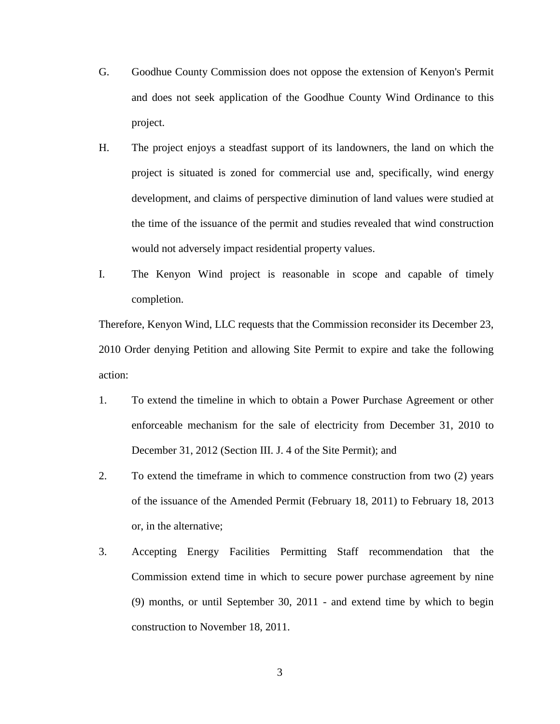- G. Goodhue County Commission does not oppose the extension of Kenyon's Permit and does not seek application of the Goodhue County Wind Ordinance to this project.
- H. The project enjoys a steadfast support of its landowners, the land on which the project is situated is zoned for commercial use and, specifically, wind energy development, and claims of perspective diminution of land values were studied at the time of the issuance of the permit and studies revealed that wind construction would not adversely impact residential property values.
- I. The Kenyon Wind project is reasonable in scope and capable of timely completion.

Therefore, Kenyon Wind, LLC requests that the Commission reconsider its December 23, 2010 Order denying Petition and allowing Site Permit to expire and take the following action:

- 1. To extend the timeline in which to obtain a Power Purchase Agreement or other enforceable mechanism for the sale of electricity from December 31, 2010 to December 31, 2012 (Section III. J. 4 of the Site Permit); and
- 2. To extend the timeframe in which to commence construction from two (2) years of the issuance of the Amended Permit (February 18, 2011) to February 18, 2013 or, in the alternative;
- 3. Accepting Energy Facilities Permitting Staff recommendation that the Commission extend time in which to secure power purchase agreement by nine (9) months, or until September 30, 2011 - and extend time by which to begin construction to November 18, 2011.

3